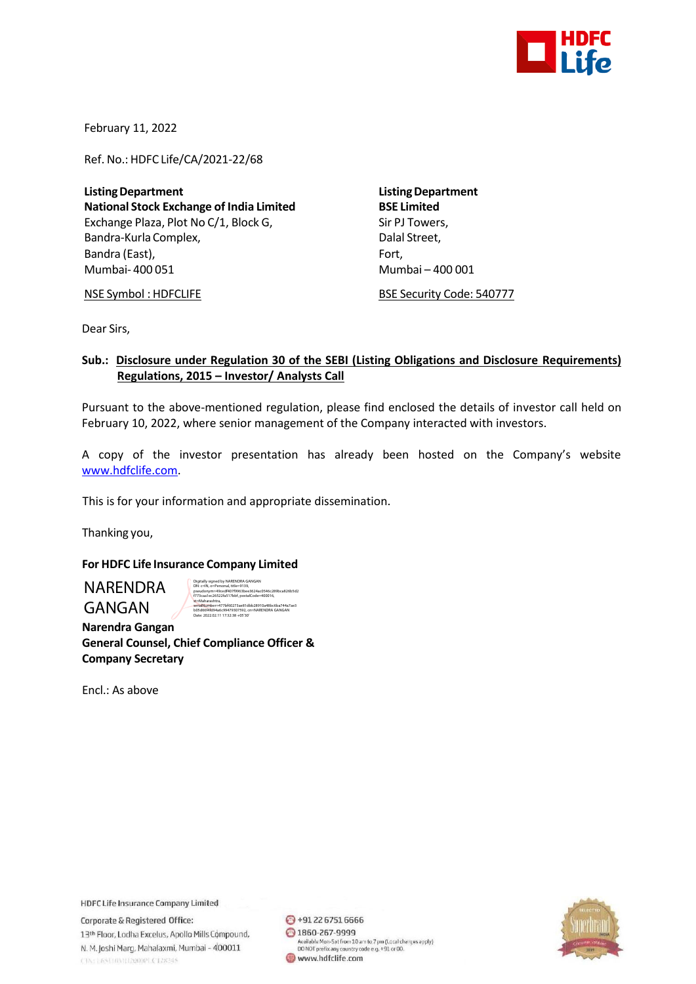

February 11, 2022

Ref. No.: HDFC Life/CA/2021-22/68

**ListingDepartment ListingDepartment National Stock Exchange of India Limited BSE Limited** Exchange Plaza, Plot No C/1, Block G, Sir PJ Towers, Bandra-Kurla Complex, and the complex of the Dalal Street, Bandra (East), Fort, Fort, Fort, Fort, Fort, Fort, Fort, Fort, Fort, Fort, Fort, Fort, Fort, Fort, Fort, Fort, Mumbai- 400 051 Mumbai – 400 001

NSE Symbol : HDFCLIFE BSE Security Code: 540777

Dear Sirs,

## **Sub.: Disclosure under Regulation 30 of the SEBI (Listing Obligations and Disclosure Requirements) Regulations, 2015 – Investor/ Analysts Call**

Pursuant to the above-mentioned regulation, please find enclosed the details of investor call held on February 10, 2022, where senior management of the Company interacted with investors.

A copy of the investor presentation has already been hosted on the Company's website [www.hdfclife.com.](http://www.hdfclife.com/)

This is for your information and appropriate dissemination.

Thanking you,

## **For HDFC Life Insurance Company Limited**

NARENDRA GANGAN

Digitally signed by NARENDRA GANGAN DN: c=IN, o=Personal, title=9139, pseudonym=49cedf407f9963bee3624ac0546c289bca826b5d2 f773caa1ec26522fa517bbf, postalCode=400016, st=Maharashtra, serialNumber=477bf60273ae81dbb28910a48bc6ba744a7ae3 b05d66f4fd94a6c99479307592, cn=NARENDRA GANGAN Date: 2022.02.11 17:32:38 +05'30'

 **Narendra Gangan General Counsel, Chief Compliance Officer & Company Secretary**

Encl.: As above

**HDFC Life Insurance Company Limited** 

Corporate & Registered Office: 13th Floor, Lodha Excelus, Apollo Mills Compound, N. M. Joshi Marg, Mahalaxmi, Mumbai - 400011 CINTERSUM/H2000PLC128345